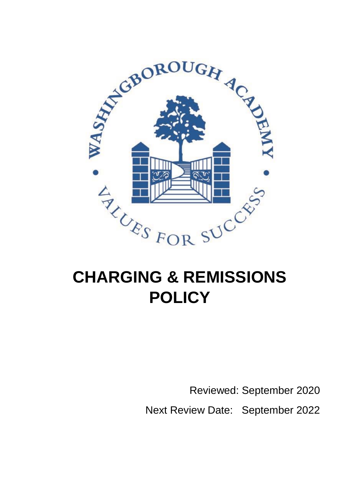

# **POLICY**

Reviewed: September 2020 Next Review Date: September 2022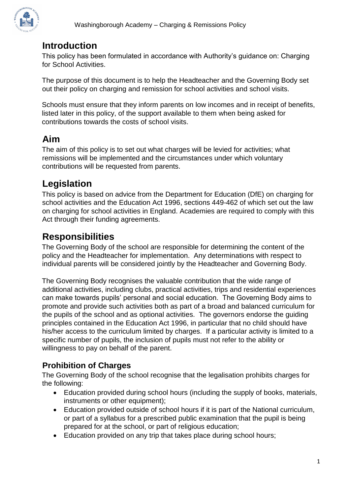

# **Introduction**

This policy has been formulated in accordance with Authority's guidance on: Charging for School Activities.

The purpose of this document is to help the Headteacher and the Governing Body set out their policy on charging and remission for school activities and school visits.

Schools must ensure that they inform parents on low incomes and in receipt of benefits, listed later in this policy, of the support available to them when being asked for contributions towards the costs of school visits.

# **Aim**

The aim of this policy is to set out what charges will be levied for activities; what remissions will be implemented and the circumstances under which voluntary contributions will be requested from parents.

## **Legislation**

This policy is based on advice from the Department for Education (DfE) on [charging for](https://www.gov.uk/government/publications/charging-for-school-activities)  [school](https://www.gov.uk/government/publications/charging-for-school-activities) [activities](https://www.gov.uk/government/publications/charging-for-school-activities) [a](https://www.gov.uk/government/publications/charging-for-school-activities)nd [the Education Act 1996,](http://www.legislation.gov.uk/ukpga/1996/56/part/VI/chapter/III) sections 449-462 of which set out the law on charging for school activities in England. Academies are required to comply with this Act through their funding agreements.

## **Responsibilities**

The Governing Body of the school are responsible for determining the content of the policy and the Headteacher for implementation. Any determinations with respect to individual parents will be considered jointly by the Headteacher and Governing Body.

The Governing Body recognises the valuable contribution that the wide range of additional activities, including clubs, practical activities, trips and residential experiences can make towards pupils' personal and social education. The Governing Body aims to promote and provide such activities both as part of a broad and balanced curriculum for the pupils of the school and as optional activities. The governors endorse the guiding principles contained in the Education Act 1996, in particular that no child should have his/her access to the curriculum limited by charges. If a particular activity is limited to a specific number of pupils, the inclusion of pupils must not refer to the ability or willingness to pay on behalf of the parent.

## **Prohibition of Charges**

The Governing Body of the school recognise that the legalisation prohibits charges for the following:

- Education provided during school hours (including the supply of books, materials, instruments or other equipment);
- Education provided outside of school hours if it is part of the National curriculum, or part of a syllabus for a prescribed public examination that the pupil is being prepared for at the school, or part of religious education;
- Education provided on any trip that takes place during school hours;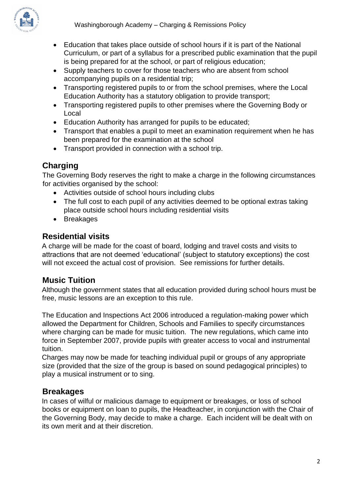

- Education that takes place outside of school hours if it is part of the National Curriculum, or part of a syllabus for a prescribed public examination that the pupil is being prepared for at the school, or part of religious education;
- Supply teachers to cover for those teachers who are absent from school accompanying pupils on a residential trip;
- Transporting registered pupils to or from the school premises, where the Local Education Authority has a statutory obligation to provide transport;
- Transporting registered pupils to other premises where the Governing Body or Local
- Education Authority has arranged for pupils to be educated;
- Transport that enables a pupil to meet an examination requirement when he has been prepared for the examination at the school
- Transport provided in connection with a school trip.

## **Charging**

The Governing Body reserves the right to make a charge in the following circumstances for activities organised by the school:

- Activities outside of school hours including clubs
- The full cost to each pupil of any activities deemed to be optional extras taking place outside school hours including residential visits
- Breakages

#### **Residential visits**

A charge will be made for the coast of board, lodging and travel costs and visits to attractions that are not deemed 'educational' (subject to statutory exceptions) the cost will not exceed the actual cost of provision. See remissions for further details.

## **Music Tuition**

Although the government states that all education provided during school hours must be free, music lessons are an exception to this rule.

The Education and Inspections Act 2006 introduced a regulation-making power which allowed the Department for Children, Schools and Families to specify circumstances where charging can be made for music tuition. The new regulations, which came into force in September 2007, provide pupils with greater access to vocal and instrumental tuition.

Charges may now be made for teaching individual pupil or groups of any appropriate size (provided that the size of the group is based on sound pedagogical principles) to play a musical instrument or to sing.

#### **Breakages**

In cases of wilful or malicious damage to equipment or breakages, or loss of school books or equipment on loan to pupils, the Headteacher, in conjunction with the Chair of the Governing Body, may decide to make a charge. Each incident will be dealt with on its own merit and at their discretion.